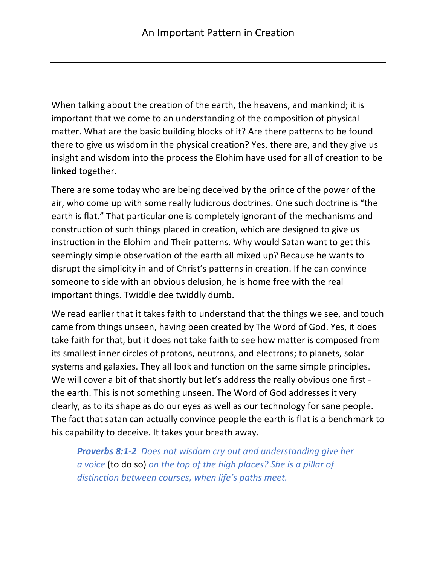When talking about the creation of the earth, the heavens, and mankind; it is important that we come to an understanding of the composition of physical matter. What are the basic building blocks of it? Are there patterns to be found there to give us wisdom in the physical creation? Yes, there are, and they give us insight and wisdom into the process the Elohim have used for all of creation to be **linked** together.

There are some today who are being deceived by the prince of the power of the air, who come up with some really ludicrous doctrines. One such doctrine is "the earth is flat." That particular one is completely ignorant of the mechanisms and construction of such things placed in creation, which are designed to give us instruction in the Elohim and Their patterns. Why would Satan want to get this seemingly simple observation of the earth all mixed up? Because he wants to disrupt the simplicity in and of Christ's patterns in creation. If he can convince someone to side with an obvious delusion, he is home free with the real important things. Twiddle dee twiddly dumb.

We read earlier that it takes faith to understand that the things we see, and touch came from things unseen, having been created by The Word of God. Yes, it does take faith for that, but it does not take faith to see how matter is composed from its smallest inner circles of protons, neutrons, and electrons; to planets, solar systems and galaxies. They all look and function on the same simple principles. We will cover a bit of that shortly but let's address the really obvious one first the earth. This is not something unseen. The Word of God addresses it very clearly, as to its shape as do our eyes as well as our technology for sane people. The fact that satan can actually convince people the earth is flat is a benchmark to his capability to deceive. It takes your breath away.

*Proverbs 8:1-2 Does not wisdom cry out and understanding give her a voice* (to do so) *on the top of the high places? She is a pillar of distinction between courses, when life's paths meet.*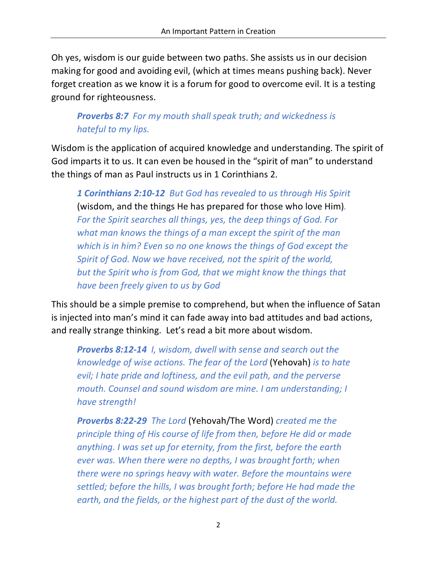Oh yes, wisdom is our guide between two paths. She assists us in our decision making for good and avoiding evil, (which at times means pushing back). Never forget creation as we know it is a forum for good to overcome evil. It is a testing ground for righteousness.

## *Proverbs 8:7 For my mouth shall speak truth; and wickedness is hateful to my lips.*

Wisdom is the application of acquired knowledge and understanding. The spirit of God imparts it to us. It can even be housed in the "spirit of man" to understand the things of man as Paul instructs us in 1 Corinthians 2.

*1 Corinthians 2:10-12 But God has revealed to us through His Spirit* (wisdom, and the things He has prepared for those who love Him)*. For the Spirit searches all things, yes, the deep things of God. For what man knows the things of a man except the spirit of the man which is in him? Even so no one knows the things of God except the Spirit of God. Now we have received, not the spirit of the world, but the Spirit who is from God, that we might know the things that have been freely given to us by God*

This should be a simple premise to comprehend, but when the influence of Satan is injected into man's mind it can fade away into bad attitudes and bad actions, and really strange thinking. Let's read a bit more about wisdom.

*Proverbs 8:12-14 I, wisdom, dwell with sense and search out the knowledge of wise actions. The fear of the Lord* (Yehovah) *is to hate evil; I hate pride and loftiness, and the evil path, and the perverse mouth. Counsel and sound wisdom are mine. I am understanding; I have strength!*

*Proverbs 8:22-29 The Lord* (Yehovah/The Word) *created me the principle thing of His course of life from then, before He did or made anything. I was set up for eternity, from the first, before the earth ever was. When there were no depths, I was brought forth; when there were no springs heavy with water. Before the mountains were settled; before the hills, I was brought forth; before He had made the earth, and the fields, or the highest part of the dust of the world.*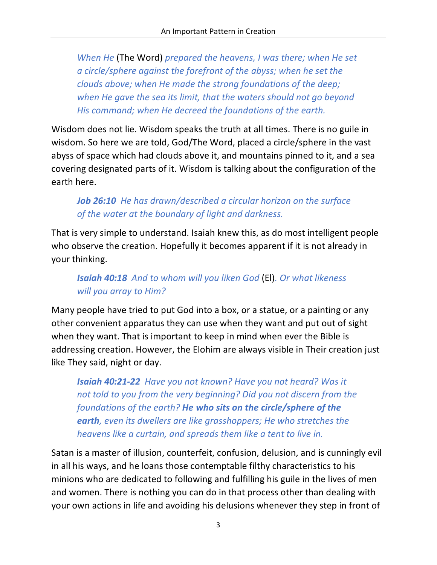*When He* (The Word) *prepared the heavens, I was there; when He set a circle/sphere against the forefront of the abyss; when he set the clouds above; when He made the strong foundations of the deep; when He gave the sea its limit, that the waters should not go beyond His command; when He decreed the foundations of the earth.*

Wisdom does not lie. Wisdom speaks the truth at all times. There is no guile in wisdom. So here we are told, God/The Word, placed a circle/sphere in the vast abyss of space which had clouds above it, and mountains pinned to it, and a sea covering designated parts of it. Wisdom is talking about the configuration of the earth here.

## *Job 26:10 He has drawn/described a circular horizon on the surface of the water at the boundary of light and darkness.*

That is very simple to understand. Isaiah knew this, as do most intelligent people who observe the creation. Hopefully it becomes apparent if it is not already in your thinking.

## *Isaiah 40:18 And to whom will you liken God* (El)*. Or what likeness will you array to Him?*

Many people have tried to put God into a box, or a statue, or a painting or any other convenient apparatus they can use when they want and put out of sight when they want. That is important to keep in mind when ever the Bible is addressing creation. However, the Elohim are always visible in Their creation just like They said, night or day.

*Isaiah 40:21-22 Have you not known? Have you not heard? Was it not told to you from the very beginning? Did you not discern from the foundations of the earth? He who sits on the circle/sphere of the earth, even its dwellers are like grasshoppers; He who stretches the heavens like a curtain, and spreads them like a tent to live in.*

Satan is a master of illusion, counterfeit, confusion, delusion, and is cunningly evil in all his ways, and he loans those contemptable filthy characteristics to his minions who are dedicated to following and fulfilling his guile in the lives of men and women. There is nothing you can do in that process other than dealing with your own actions in life and avoiding his delusions whenever they step in front of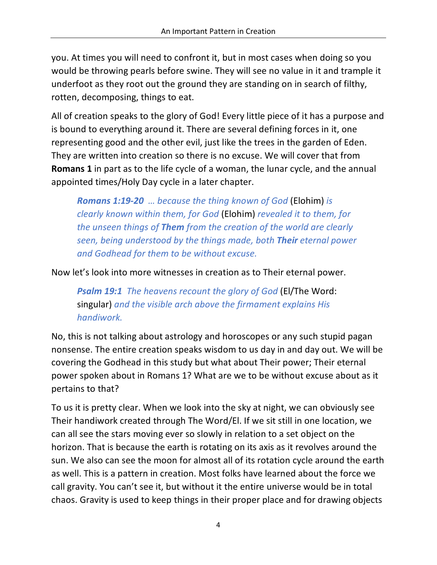you. At times you will need to confront it, but in most cases when doing so you would be throwing pearls before swine. They will see no value in it and trample it underfoot as they root out the ground they are standing on in search of filthy, rotten, decomposing, things to eat.

All of creation speaks to the glory of God! Every little piece of it has a purpose and is bound to everything around it. There are several defining forces in it, one representing good and the other evil, just like the trees in the garden of Eden. They are written into creation so there is no excuse. We will cover that from **Romans 1** in part as to the life cycle of a woman, the lunar cycle, and the annual appointed times/Holy Day cycle in a later chapter.

*Romans 1:19-20 … because the thing known of God* (Elohim) *is clearly known within them, for God* (Elohim) *revealed it to them, for the unseen things of Them from the creation of the world are clearly seen, being understood by the things made, both Their eternal power and Godhead for them to be without excuse.*

Now let's look into more witnesses in creation as to Their eternal power.

*Psalm 19:1 The heavens recount the glory of God* (El/The Word: singular) *and the visible arch above the firmament explains His handiwork.*

No, this is not talking about astrology and horoscopes or any such stupid pagan nonsense. The entire creation speaks wisdom to us day in and day out. We will be covering the Godhead in this study but what about Their power; Their eternal power spoken about in Romans 1? What are we to be without excuse about as it pertains to that?

To us it is pretty clear. When we look into the sky at night, we can obviously see Their handiwork created through The Word/El. If we sit still in one location, we can all see the stars moving ever so slowly in relation to a set object on the horizon. That is because the earth is rotating on its axis as it revolves around the sun. We also can see the moon for almost all of its rotation cycle around the earth as well. This is a pattern in creation. Most folks have learned about the force we call gravity. You can't see it, but without it the entire universe would be in total chaos. Gravity is used to keep things in their proper place and for drawing objects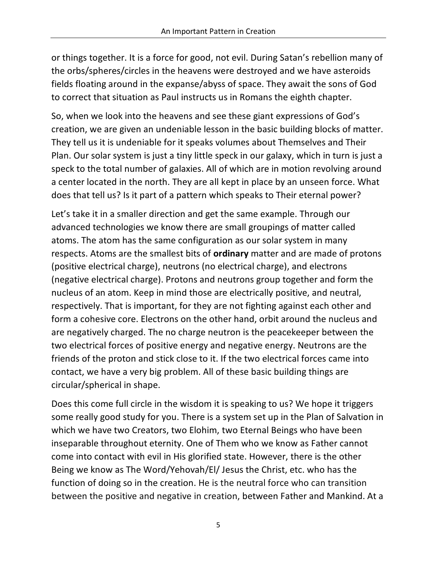or things together. It is a force for good, not evil. During Satan's rebellion many of the orbs/spheres/circles in the heavens were destroyed and we have asteroids fields floating around in the expanse/abyss of space. They await the sons of God to correct that situation as Paul instructs us in Romans the eighth chapter.

So, when we look into the heavens and see these giant expressions of God's creation, we are given an undeniable lesson in the basic building blocks of matter. They tell us it is undeniable for it speaks volumes about Themselves and Their Plan. Our solar system is just a tiny little speck in our galaxy, which in turn is just a speck to the total number of galaxies. All of which are in motion revolving around a center located in the north. They are all kept in place by an unseen force. What does that tell us? Is it part of a pattern which speaks to Their eternal power?

Let's take it in a smaller direction and get the same example. Through our advanced technologies we know there are small groupings of matter called atoms. The atom has the same configuration as our solar system in many respects. Atoms are the smallest bits of **ordinary** matter and are made of protons (positive electrical charge), neutrons (no electrical charge), and electrons (negative electrical charge). Protons and neutrons group together and form the nucleus of an atom. Keep in mind those are electrically positive, and neutral, respectively. That is important, for they are not fighting against each other and form a cohesive core. Electrons on the other hand, orbit around the nucleus and are negatively charged. The no charge neutron is the peacekeeper between the two electrical forces of positive energy and negative energy. Neutrons are the friends of the proton and stick close to it. If the two electrical forces came into contact, we have a very big problem. All of these basic building things are circular/spherical in shape.

Does this come full circle in the wisdom it is speaking to us? We hope it triggers some really good study for you. There is a system set up in the Plan of Salvation in which we have two Creators, two Elohim, two Eternal Beings who have been inseparable throughout eternity. One of Them who we know as Father cannot come into contact with evil in His glorified state. However, there is the other Being we know as The Word/Yehovah/El/ Jesus the Christ, etc. who has the function of doing so in the creation. He is the neutral force who can transition between the positive and negative in creation, between Father and Mankind. At a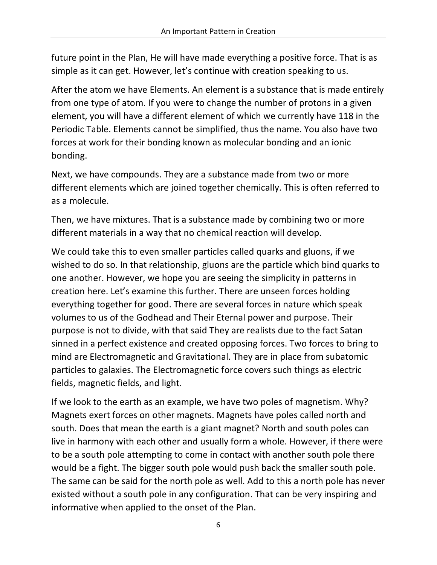future point in the Plan, He will have made everything a positive force. That is as simple as it can get. However, let's continue with creation speaking to us.

After the atom we have Elements. An element is a substance that is made entirely from one type of atom. If you were to change the number of protons in a given element, you will have a different element of which we currently have 118 in the Periodic Table. Elements cannot be simplified, thus the name. You also have two forces at work for their bonding known as molecular bonding and an ionic bonding.

Next, we have compounds. They are a substance made from two or more different elements which are joined together chemically. This is often referred to as a molecule.

Then, we have mixtures. That is a substance made by combining two or more different materials in a way that no chemical reaction will develop.

We could take this to even smaller particles called quarks and gluons, if we wished to do so. In that relationship, gluons are the particle which bind quarks to one another. However, we hope you are seeing the simplicity in patterns in creation here. Let's examine this further. There are unseen forces holding everything together for good. There are several forces in nature which speak volumes to us of the Godhead and Their Eternal power and purpose. Their purpose is not to divide, with that said They are realists due to the fact Satan sinned in a perfect existence and created opposing forces. Two forces to bring to mind are Electromagnetic and Gravitational. They are in place from subatomic particles to galaxies. The Electromagnetic force covers such things as electric fields, magnetic fields, and light.

If we look to the earth as an example, we have two poles of magnetism. Why? Magnets exert forces on other magnets. Magnets have poles called north and south. Does that mean the earth is a giant magnet? North and south poles can live in harmony with each other and usually form a whole. However, if there were to be a south pole attempting to come in contact with another south pole there would be a fight. The bigger south pole would push back the smaller south pole. The same can be said for the north pole as well. Add to this a north pole has never existed without a south pole in any configuration. That can be very inspiring and informative when applied to the onset of the Plan.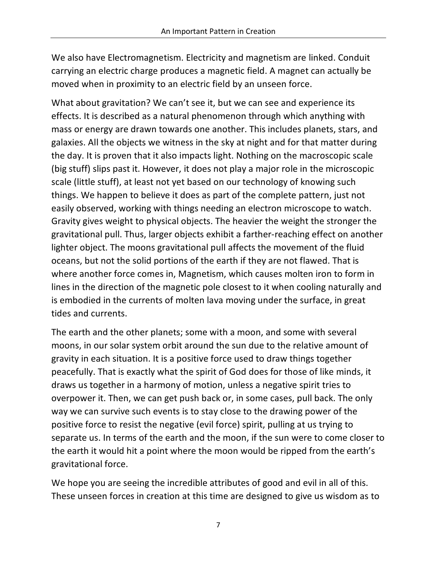We also have Electromagnetism. Electricity and magnetism are linked. Conduit carrying an electric charge produces a magnetic field. A magnet can actually be moved when in proximity to an electric field by an unseen force.

What about gravitation? We can't see it, but we can see and experience its effects. It is described as a natural phenomenon through which anything with mass or energy are drawn towards one another. This includes planets, stars, and galaxies. All the objects we witness in the sky at night and for that matter during the day. It is proven that it also impacts light. Nothing on the macroscopic scale (big stuff) slips past it. However, it does not play a major role in the microscopic scale (little stuff), at least not yet based on our technology of knowing such things. We happen to believe it does as part of the complete pattern, just not easily observed, working with things needing an electron microscope to watch. Gravity gives weight to physical objects. The heavier the weight the stronger the gravitational pull. Thus, larger objects exhibit a farther-reaching effect on another lighter object. The moons gravitational pull affects the movement of the fluid oceans, but not the solid portions of the earth if they are not flawed. That is where another force comes in, Magnetism, which causes molten iron to form in lines in the direction of the magnetic pole closest to it when cooling naturally and is embodied in the currents of molten lava moving under the surface, in great tides and currents.

The earth and the other planets; some with a moon, and some with several moons, in our solar system orbit around the sun due to the relative amount of gravity in each situation. It is a positive force used to draw things together peacefully. That is exactly what the spirit of God does for those of like minds, it draws us together in a harmony of motion, unless a negative spirit tries to overpower it. Then, we can get push back or, in some cases, pull back. The only way we can survive such events is to stay close to the drawing power of the positive force to resist the negative (evil force) spirit, pulling at us trying to separate us. In terms of the earth and the moon, if the sun were to come closer to the earth it would hit a point where the moon would be ripped from the earth's gravitational force.

We hope you are seeing the incredible attributes of good and evil in all of this. These unseen forces in creation at this time are designed to give us wisdom as to